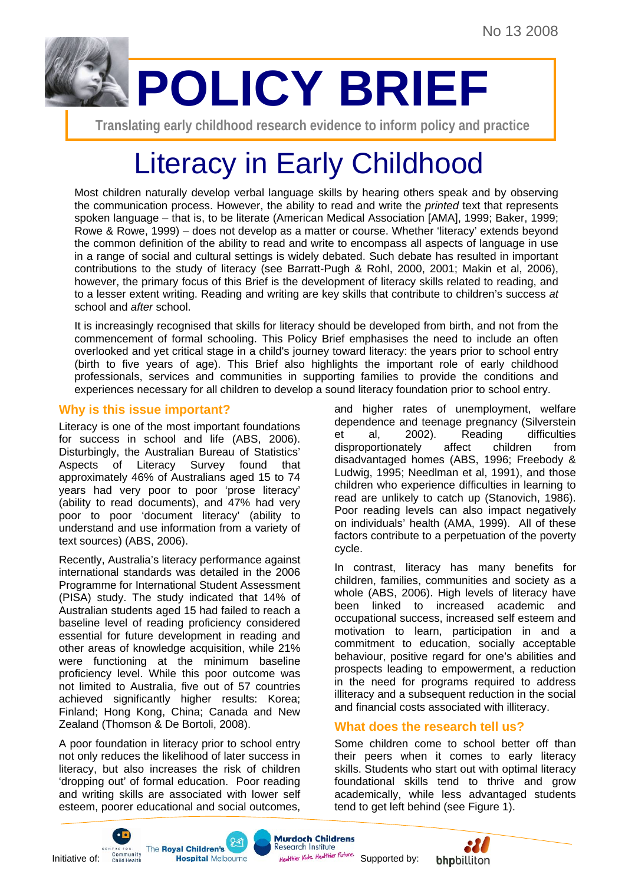

**Translating early childhood research evidence to inform policy and practice** 

# Literacy in Early Childhood

Most children naturally develop verbal language skills by hearing others speak and by observing the communication process. However, the ability to read and write the *printed* text that represents spoken language – that is, to be literate (American Medical Association [AMA], 1999; Baker, 1999; Rowe & Rowe, 1999) – does not develop as a matter or course. Whether 'literacy' extends beyond the common definition of the ability to read and write to encompass all aspects of language in use in a range of social and cultural settings is widely debated. Such debate has resulted in important contributions to the study of literacy (see Barratt-Pugh & Rohl, 2000, 2001; Makin et al, 2006), however, the primary focus of this Brief is the development of literacy skills related to reading, and to a lesser extent writing. Reading and writing are key skills that contribute to children's success *at* school and *after* school.

It is increasingly recognised that skills for literacy should be developed from birth, and not from the commencement of formal schooling. This Policy Brief emphasises the need to include an often overlooked and yet critical stage in a child's journey toward literacy: the years prior to school entry (birth to five years of age). This Brief also highlights the important role of early childhood professionals, services and communities in supporting families to provide the conditions and experiences necessary for all children to develop a sound literacy foundation prior to school entry.

## **Why is this issue important?**

Literacy is one of the most important foundations for success in school and life (ABS, 2006). Disturbingly, the Australian Bureau of Statistics' Aspects of Literacy Survey found that approximately 46% of Australians aged 15 to 74 years had very poor to poor 'prose literacy' (ability to read documents), and 47% had very poor to poor 'document literacy' (ability to understand and use information from a variety of text sources) (ABS, 2006).

Recently, Australia's literacy performance against international standards was detailed in the 2006 Programme for International Student Assessment (PISA) study. The study indicated that 14% of Australian students aged 15 had failed to reach a baseline level of reading proficiency considered essential for future development in reading and other areas of knowledge acquisition, while 21% were functioning at the minimum baseline proficiency level. While this poor outcome was not limited to Australia, five out of 57 countries achieved significantly higher results: Korea; Finland; Hong Kong, China; Canada and New Zealand (Thomson & De Bortoli, 2008).

A poor foundation in literacy prior to school entry not only reduces the likelihood of later success in literacy, but also increases the risk of children 'dropping out' of formal education. Poor reading and writing skills are associated with lower self esteem, poorer educational and social outcomes,

and higher rates of unemployment, welfare dependence and teenage pregnancy (Silverstein et al, 2002). Reading difficulties disproportionately affect children from disadvantaged homes (ABS, 1996; Freebody & Ludwig, 1995; Needlman et al, 1991), and those children who experience difficulties in learning to read are unlikely to catch up (Stanovich, 1986). Poor reading levels can also impact negatively on individuals' health (AMA, 1999). All of these factors contribute to a perpetuation of the poverty cycle.

In contrast, literacy has many benefits for children, families, communities and society as a whole (ABS, 2006). High levels of literacy have been linked to increased academic and occupational success, increased self esteem and motivation to learn, participation in and a commitment to education, socially acceptable behaviour, positive regard for one's abilities and prospects leading to empowerment, a reduction in the need for programs required to address illiteracy and a subsequent reduction in the social and financial costs associated with illiteracy.

# **What does the research tell us?**

Some children come to school better off than their peers when it comes to early literacy skills. Students who start out with optimal literacy foundational skills tend to thrive and grow academically, while less advantaged students tend to get left behind (see Figure 1).









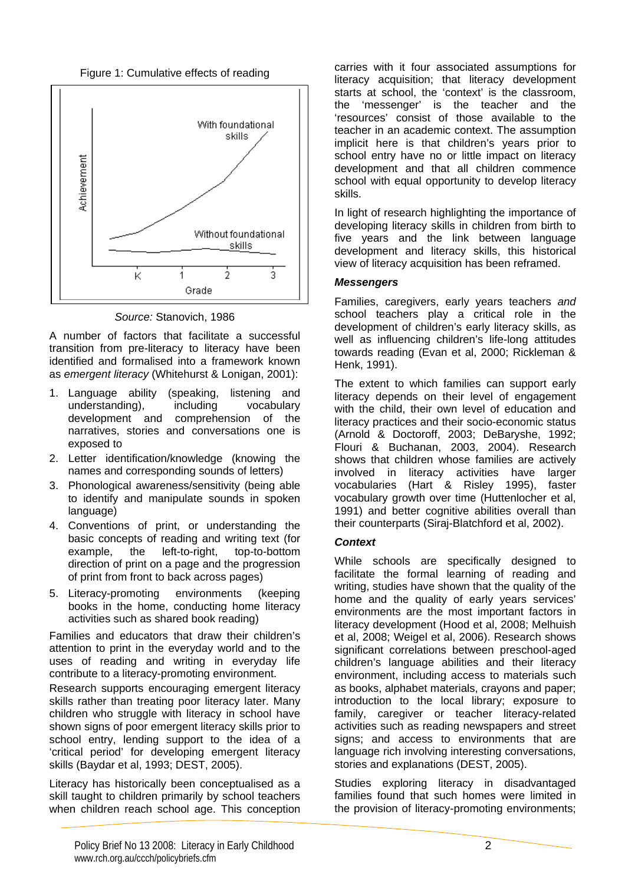Figure 1: Cumulative effects of reading



*Source:* Stanovich, 1986

A number of factors that facilitate a successful transition from pre-literacy to literacy have been identified and formalised into a framework known as *emergent literacy* (Whitehurst & Lonigan, 2001):

- 1. Language ability (speaking, listening and understanding), including vocabulary development and comprehension of the narratives, stories and conversations one is exposed to
- 2. Letter identification/knowledge (knowing the names and corresponding sounds of letters)
- 3. Phonological awareness/sensitivity (being able to identify and manipulate sounds in spoken language)
- 4. Conventions of print, or understanding the basic concepts of reading and writing text (for example, the left-to-right, top-to-bottom direction of print on a page and the progression of print from front to back across pages)
- 5. Literacy-promoting environments (keeping books in the home, conducting home literacy activities such as shared book reading)

Families and educators that draw their children's attention to print in the everyday world and to the uses of reading and writing in everyday life contribute to a literacy-promoting environment.

Research supports encouraging emergent literacy skills rather than treating poor literacy later. Many children who struggle with literacy in school have shown signs of poor emergent literacy skills prior to school entry, lending support to the idea of a 'critical period' for developing emergent literacy skills (Baydar et al, 1993; DEST, 2005).

Literacy has historically been conceptualised as a skill taught to children primarily by school teachers when children reach school age. This conception carries with it four associated assumptions for literacy acquisition; that literacy development starts at school, the 'context' is the classroom, the 'messenger' is the teacher and the 'resources' consist of those available to the teacher in an academic context. The assumption implicit here is that children's years prior to school entry have no or little impact on literacy development and that all children commence school with equal opportunity to develop literacy skills.

In light of research highlighting the importance of developing literacy skills in children from birth to five years and the link between language development and literacy skills, this historical view of literacy acquisition has been reframed.

## *Messengers*

Families, caregivers, early years teachers *and*  school teachers play a critical role in the development of children's early literacy skills, as well as influencing children's life-long attitudes towards reading (Evan et al, 2000; Rickleman & Henk, 1991).

The extent to which families can support early literacy depends on their level of engagement with the child, their own level of education and literacy practices and their socio-economic status (Arnold & Doctoroff, 2003; DeBaryshe, 1992; Flouri & Buchanan, 2003, 2004). Research shows that children whose families are actively involved in literacy activities have larger vocabularies (Hart & Risley 1995), faster vocabulary growth over time (Huttenlocher et al, 1991) and better cognitive abilities overall than their counterparts (Siraj-Blatchford et al, 2002).

## *Context*

While schools are specifically designed to facilitate the formal learning of reading and writing, studies have shown that the quality of the home and the quality of early years services' environments are the most important factors in literacy development (Hood et al, 2008; Melhuish et al, 2008; Weigel et al, 2006). Research shows significant correlations between preschool-aged children's language abilities and their literacy environment, including access to materials such as books, alphabet materials, crayons and paper; introduction to the local library; exposure to family, caregiver or teacher literacy-related activities such as reading newspapers and street signs; and access to environments that are language rich involving interesting conversations, stories and explanations (DEST, 2005).

Studies exploring literacy in disadvantaged families found that such homes were limited in the provision of literacy-promoting environments;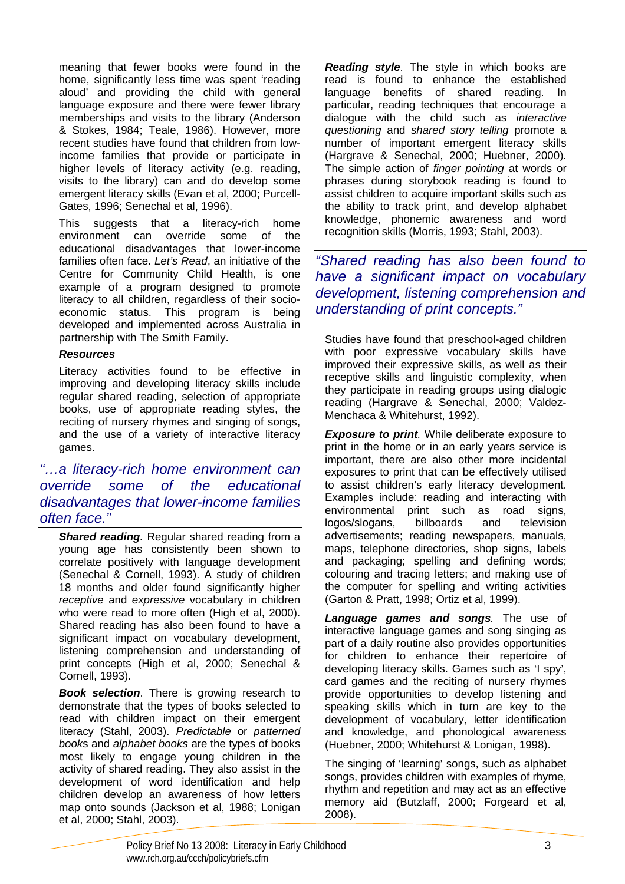meaning that fewer books were found in the home, significantly less time was spent 'reading aloud' and providing the child with general language exposure and there were fewer library memberships and visits to the library (Anderson & Stokes, 1984; Teale, 1986). However, more recent studies have found that children from lowincome families that provide or participate in higher levels of literacy activity (e.g. reading, visits to the library) can and do develop some emergent literacy skills (Evan et al, 2000; Purcell-Gates, 1996; Senechal et al, 1996).

This suggests that a literacy-rich home environment can override some of the educational disadvantages that lower-income families often face. *Let's Read*, an initiative of the Centre for Community Child Health, is one example of a program designed to promote literacy to all children, regardless of their socioeconomic status. This program is being developed and implemented across Australia in partnership with The Smith Family.

#### *Resources*

Literacy activities found to be effective in improving and developing literacy skills include regular shared reading, selection of appropriate books, use of appropriate reading styles, the reciting of nursery rhymes and singing of songs, and the use of a variety of interactive literacy games.

*"…a literacy-rich home environment can override some of the educational disadvantages that lower-income families often face."* 

*Shared reading.* Regular shared reading from a young age has consistently been shown to correlate positively with language development (Senechal & Cornell, 1993). A study of children 18 months and older found significantly higher *receptive* and *expressive* vocabulary in children who were read to more often (High et al, 2000). Shared reading has also been found to have a significant impact on vocabulary development, listening comprehension and understanding of print concepts (High et al, 2000; Senechal & Cornell, 1993).

**Book selection**. There is growing research to demonstrate that the types of books selected to read with children impact on their emergent literacy (Stahl, 2003). *Predictable* or *patterned book*s and *alphabet books* are the types of books most likely to engage young children in the activity of shared reading. They also assist in the development of word identification and help children develop an awareness of how letters map onto sounds (Jackson et al, 1988; Lonigan et al, 2000; Stahl, 2003).

*Reading style*. The style in which books are read is found to enhance the established language benefits of shared reading. In particular, reading techniques that encourage a dialogue with the child such as *interactive questioning* and *shared story telling* promote a number of important emergent literacy skills (Hargrave & Senechal, 2000; Huebner, 2000). The simple action of *finger pointing* at words or phrases during storybook reading is found to assist children to acquire important skills such as the ability to track print, and develop alphabet knowledge, phonemic awareness and word recognition skills (Morris, 1993; Stahl, 2003).

*"Shared reading has also been found to have a significant impact on vocabulary development, listening comprehension and understanding of print concepts."* 

Studies have found that preschool-aged children with poor expressive vocabulary skills have improved their expressive skills, as well as their receptive skills and linguistic complexity, when they participate in reading groups using dialogic reading (Hargrave & Senechal, 2000; Valdez-Menchaca & Whitehurst, 1992).

*Exposure to print.* While deliberate exposure to print in the home or in an early years service is important, there are also other more incidental exposures to print that can be effectively utilised to assist children's early literacy development. Examples include: reading and interacting with environmental print such as road signs, logos/slogans, billboards and television advertisements; reading newspapers, manuals, maps, telephone directories, shop signs, labels and packaging; spelling and defining words; colouring and tracing letters; and making use of the computer for spelling and writing activities (Garton & Pratt, 1998; Ortiz et al, 1999).

*Language games and songs.* The use of interactive language games and song singing as part of a daily routine also provides opportunities for children to enhance their repertoire of developing literacy skills. Games such as 'I spy', card games and the reciting of nursery rhymes provide opportunities to develop listening and speaking skills which in turn are key to the development of vocabulary, letter identification and knowledge, and phonological awareness (Huebner, 2000; Whitehurst & Lonigan, 1998).

The singing of 'learning' songs, such as alphabet songs, provides children with examples of rhyme, rhythm and repetition and may act as an effective memory aid (Butzlaff, 2000; Forgeard et al, 2008).